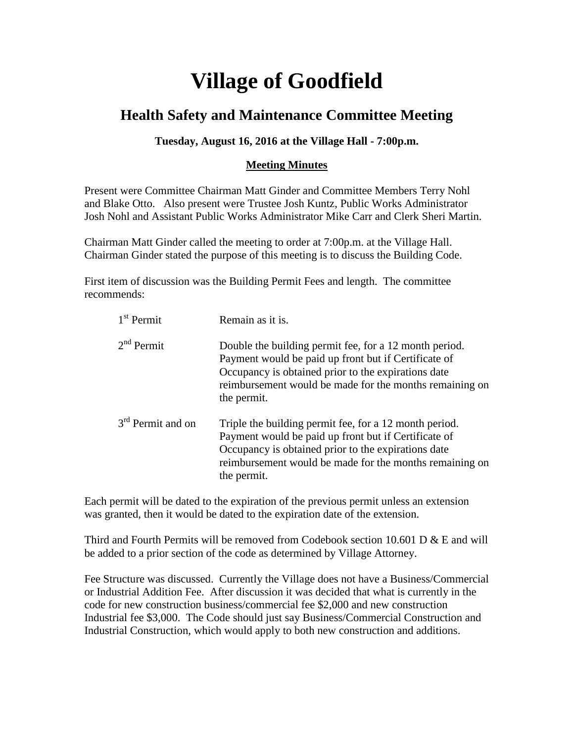## **Village of Goodfield**

## **Health Safety and Maintenance Committee Meeting**

## **Tuesday, August 16, 2016 at the Village Hall - 7:00p.m.**

## **Meeting Minutes**

Present were Committee Chairman Matt Ginder and Committee Members Terry Nohl and Blake Otto. Also present were Trustee Josh Kuntz, Public Works Administrator Josh Nohl and Assistant Public Works Administrator Mike Carr and Clerk Sheri Martin.

Chairman Matt Ginder called the meeting to order at 7:00p.m. at the Village Hall. Chairman Ginder stated the purpose of this meeting is to discuss the Building Code.

First item of discussion was the Building Permit Fees and length. The committee recommends:

| $1st$ Permit        | Remain as it is.                                                                                                                                                                                                                                |
|---------------------|-------------------------------------------------------------------------------------------------------------------------------------------------------------------------------------------------------------------------------------------------|
| $2nd$ Permit        | Double the building permit fee, for a 12 month period.<br>Payment would be paid up front but if Certificate of<br>Occupancy is obtained prior to the expirations date<br>reimbursement would be made for the months remaining on<br>the permit. |
| $3rd$ Permit and on | Triple the building permit fee, for a 12 month period.<br>Payment would be paid up front but if Certificate of<br>Occupancy is obtained prior to the expirations date<br>reimbursement would be made for the months remaining on<br>the permit. |

Each permit will be dated to the expiration of the previous permit unless an extension was granted, then it would be dated to the expiration date of the extension.

Third and Fourth Permits will be removed from Codebook section 10.601 D & E and will be added to a prior section of the code as determined by Village Attorney.

Fee Structure was discussed. Currently the Village does not have a Business/Commercial or Industrial Addition Fee. After discussion it was decided that what is currently in the code for new construction business/commercial fee \$2,000 and new construction Industrial fee \$3,000. The Code should just say Business/Commercial Construction and Industrial Construction, which would apply to both new construction and additions.